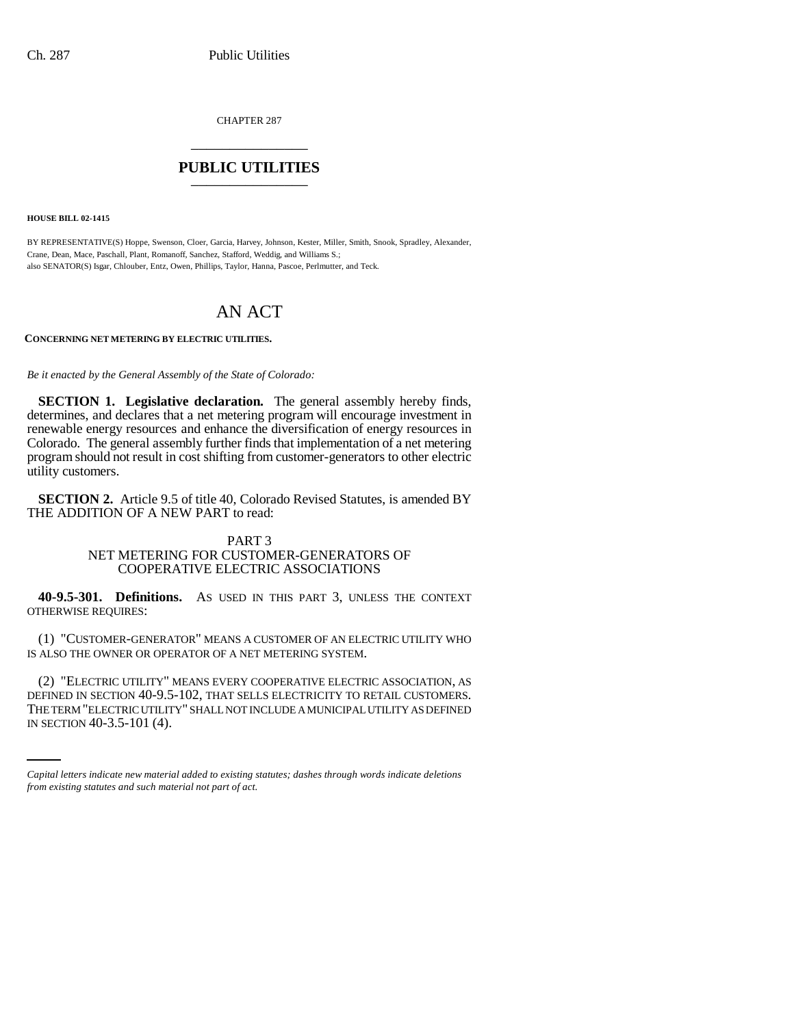CHAPTER 287 \_\_\_\_\_\_\_\_\_\_\_\_\_\_\_

## **PUBLIC UTILITIES** \_\_\_\_\_\_\_\_\_\_\_\_\_\_\_

**HOUSE BILL 02-1415**

BY REPRESENTATIVE(S) Hoppe, Swenson, Cloer, Garcia, Harvey, Johnson, Kester, Miller, Smith, Snook, Spradley, Alexander, Crane, Dean, Mace, Paschall, Plant, Romanoff, Sanchez, Stafford, Weddig, and Williams S.; also SENATOR(S) Isgar, Chlouber, Entz, Owen, Phillips, Taylor, Hanna, Pascoe, Perlmutter, and Teck.

## AN ACT

**CONCERNING NET METERING BY ELECTRIC UTILITIES.**

*Be it enacted by the General Assembly of the State of Colorado:*

**SECTION 1. Legislative declaration.** The general assembly hereby finds, determines, and declares that a net metering program will encourage investment in renewable energy resources and enhance the diversification of energy resources in Colorado. The general assembly further finds that implementation of a net metering program should not result in cost shifting from customer-generators to other electric utility customers.

**SECTION 2.** Article 9.5 of title 40, Colorado Revised Statutes, is amended BY THE ADDITION OF A NEW PART to read:

## PART 3 NET METERING FOR CUSTOMER-GENERATORS OF COOPERATIVE ELECTRIC ASSOCIATIONS

**40-9.5-301. Definitions.** AS USED IN THIS PART 3, UNLESS THE CONTEXT OTHERWISE REQUIRES:

(1) "CUSTOMER-GENERATOR" MEANS A CUSTOMER OF AN ELECTRIC UTILITY WHO IS ALSO THE OWNER OR OPERATOR OF A NET METERING SYSTEM.

DEFINED IN SECTION 40-9.5-102, THAT SELLS ELECTRICITY TO RETAIL CUSTOMERS. (2) "ELECTRIC UTILITY" MEANS EVERY COOPERATIVE ELECTRIC ASSOCIATION, AS THE TERM "ELECTRIC UTILITY" SHALL NOT INCLUDE A MUNICIPAL UTILITY AS DEFINED IN SECTION 40-3.5-101 (4).

*Capital letters indicate new material added to existing statutes; dashes through words indicate deletions from existing statutes and such material not part of act.*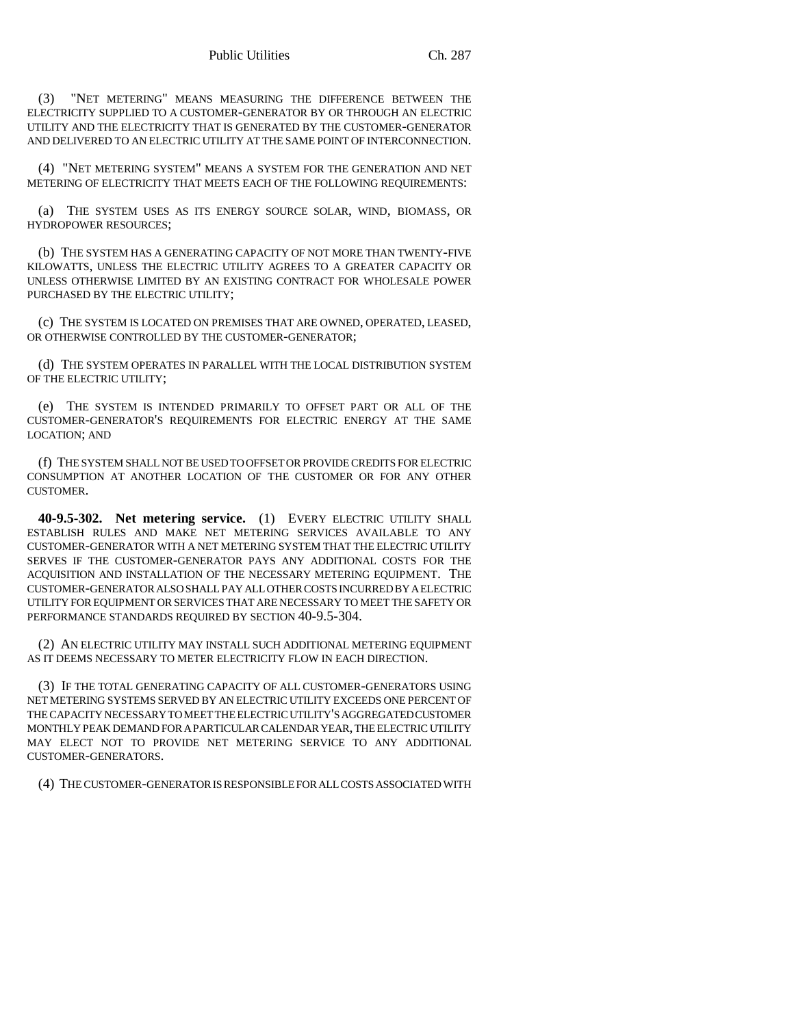(3) "NET METERING" MEANS MEASURING THE DIFFERENCE BETWEEN THE ELECTRICITY SUPPLIED TO A CUSTOMER-GENERATOR BY OR THROUGH AN ELECTRIC UTILITY AND THE ELECTRICITY THAT IS GENERATED BY THE CUSTOMER-GENERATOR AND DELIVERED TO AN ELECTRIC UTILITY AT THE SAME POINT OF INTERCONNECTION.

(4) "NET METERING SYSTEM" MEANS A SYSTEM FOR THE GENERATION AND NET METERING OF ELECTRICITY THAT MEETS EACH OF THE FOLLOWING REQUIREMENTS:

(a) THE SYSTEM USES AS ITS ENERGY SOURCE SOLAR, WIND, BIOMASS, OR HYDROPOWER RESOURCES;

(b) THE SYSTEM HAS A GENERATING CAPACITY OF NOT MORE THAN TWENTY-FIVE KILOWATTS, UNLESS THE ELECTRIC UTILITY AGREES TO A GREATER CAPACITY OR UNLESS OTHERWISE LIMITED BY AN EXISTING CONTRACT FOR WHOLESALE POWER PURCHASED BY THE ELECTRIC UTILITY;

(c) THE SYSTEM IS LOCATED ON PREMISES THAT ARE OWNED, OPERATED, LEASED, OR OTHERWISE CONTROLLED BY THE CUSTOMER-GENERATOR;

(d) THE SYSTEM OPERATES IN PARALLEL WITH THE LOCAL DISTRIBUTION SYSTEM OF THE ELECTRIC UTILITY;

(e) THE SYSTEM IS INTENDED PRIMARILY TO OFFSET PART OR ALL OF THE CUSTOMER-GENERATOR'S REQUIREMENTS FOR ELECTRIC ENERGY AT THE SAME LOCATION; AND

(f) THE SYSTEM SHALL NOT BE USED TO OFFSET OR PROVIDE CREDITS FOR ELECTRIC CONSUMPTION AT ANOTHER LOCATION OF THE CUSTOMER OR FOR ANY OTHER CUSTOMER.

**40-9.5-302. Net metering service.** (1) EVERY ELECTRIC UTILITY SHALL ESTABLISH RULES AND MAKE NET METERING SERVICES AVAILABLE TO ANY CUSTOMER-GENERATOR WITH A NET METERING SYSTEM THAT THE ELECTRIC UTILITY SERVES IF THE CUSTOMER-GENERATOR PAYS ANY ADDITIONAL COSTS FOR THE ACQUISITION AND INSTALLATION OF THE NECESSARY METERING EQUIPMENT. THE CUSTOMER-GENERATOR ALSO SHALL PAY ALL OTHER COSTS INCURRED BY A ELECTRIC UTILITY FOR EQUIPMENT OR SERVICES THAT ARE NECESSARY TO MEET THE SAFETY OR PERFORMANCE STANDARDS REQUIRED BY SECTION 40-9.5-304.

(2) AN ELECTRIC UTILITY MAY INSTALL SUCH ADDITIONAL METERING EQUIPMENT AS IT DEEMS NECESSARY TO METER ELECTRICITY FLOW IN EACH DIRECTION.

(3) IF THE TOTAL GENERATING CAPACITY OF ALL CUSTOMER-GENERATORS USING NET METERING SYSTEMS SERVED BY AN ELECTRIC UTILITY EXCEEDS ONE PERCENT OF THE CAPACITY NECESSARY TO MEET THE ELECTRIC UTILITY'S AGGREGATED CUSTOMER MONTHLY PEAK DEMAND FOR A PARTICULAR CALENDAR YEAR, THE ELECTRIC UTILITY MAY ELECT NOT TO PROVIDE NET METERING SERVICE TO ANY ADDITIONAL CUSTOMER-GENERATORS.

(4) THE CUSTOMER-GENERATOR IS RESPONSIBLE FOR ALL COSTS ASSOCIATED WITH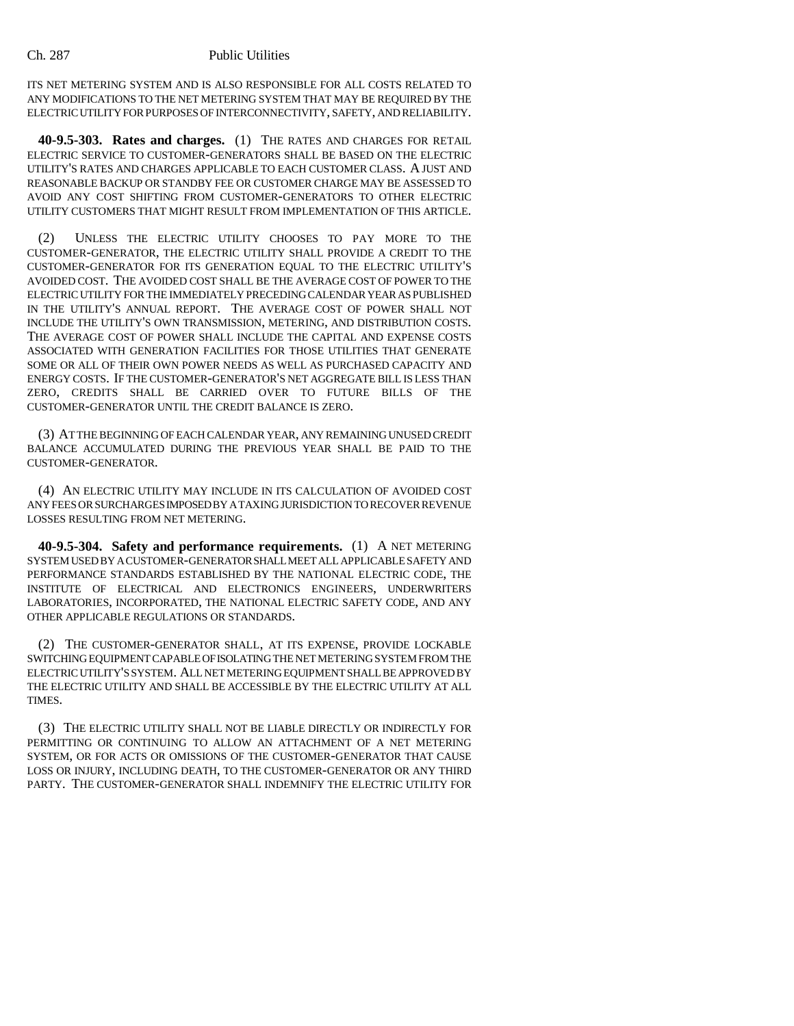## Ch. 287 Public Utilities

ITS NET METERING SYSTEM AND IS ALSO RESPONSIBLE FOR ALL COSTS RELATED TO ANY MODIFICATIONS TO THE NET METERING SYSTEM THAT MAY BE REQUIRED BY THE ELECTRIC UTILITY FOR PURPOSES OF INTERCONNECTIVITY, SAFETY, AND RELIABILITY.

**40-9.5-303. Rates and charges.** (1) THE RATES AND CHARGES FOR RETAIL ELECTRIC SERVICE TO CUSTOMER-GENERATORS SHALL BE BASED ON THE ELECTRIC UTILITY'S RATES AND CHARGES APPLICABLE TO EACH CUSTOMER CLASS. A JUST AND REASONABLE BACKUP OR STANDBY FEE OR CUSTOMER CHARGE MAY BE ASSESSED TO AVOID ANY COST SHIFTING FROM CUSTOMER-GENERATORS TO OTHER ELECTRIC UTILITY CUSTOMERS THAT MIGHT RESULT FROM IMPLEMENTATION OF THIS ARTICLE.

(2) UNLESS THE ELECTRIC UTILITY CHOOSES TO PAY MORE TO THE CUSTOMER-GENERATOR, THE ELECTRIC UTILITY SHALL PROVIDE A CREDIT TO THE CUSTOMER-GENERATOR FOR ITS GENERATION EQUAL TO THE ELECTRIC UTILITY'S AVOIDED COST. THE AVOIDED COST SHALL BE THE AVERAGE COST OF POWER TO THE ELECTRIC UTILITY FOR THE IMMEDIATELY PRECEDING CALENDAR YEAR AS PUBLISHED IN THE UTILITY'S ANNUAL REPORT. THE AVERAGE COST OF POWER SHALL NOT INCLUDE THE UTILITY'S OWN TRANSMISSION, METERING, AND DISTRIBUTION COSTS. THE AVERAGE COST OF POWER SHALL INCLUDE THE CAPITAL AND EXPENSE COSTS ASSOCIATED WITH GENERATION FACILITIES FOR THOSE UTILITIES THAT GENERATE SOME OR ALL OF THEIR OWN POWER NEEDS AS WELL AS PURCHASED CAPACITY AND ENERGY COSTS. IF THE CUSTOMER-GENERATOR'S NET AGGREGATE BILL IS LESS THAN ZERO, CREDITS SHALL BE CARRIED OVER TO FUTURE BILLS OF THE CUSTOMER-GENERATOR UNTIL THE CREDIT BALANCE IS ZERO.

(3) AT THE BEGINNING OF EACH CALENDAR YEAR, ANY REMAINING UNUSED CREDIT BALANCE ACCUMULATED DURING THE PREVIOUS YEAR SHALL BE PAID TO THE CUSTOMER-GENERATOR.

(4) AN ELECTRIC UTILITY MAY INCLUDE IN ITS CALCULATION OF AVOIDED COST ANY FEES OR SURCHARGES IMPOSED BY A TAXING JURISDICTION TO RECOVER REVENUE LOSSES RESULTING FROM NET METERING.

**40-9.5-304. Safety and performance requirements.** (1) A NET METERING SYSTEM USED BY A CUSTOMER-GENERATOR SHALL MEET ALL APPLICABLE SAFETY AND PERFORMANCE STANDARDS ESTABLISHED BY THE NATIONAL ELECTRIC CODE, THE INSTITUTE OF ELECTRICAL AND ELECTRONICS ENGINEERS, UNDERWRITERS LABORATORIES, INCORPORATED, THE NATIONAL ELECTRIC SAFETY CODE, AND ANY OTHER APPLICABLE REGULATIONS OR STANDARDS.

(2) THE CUSTOMER-GENERATOR SHALL, AT ITS EXPENSE, PROVIDE LOCKABLE SWITCHING EQUIPMENT CAPABLE OF ISOLATING THE NET METERING SYSTEM FROM THE ELECTRIC UTILITY'S SYSTEM. ALL NET METERING EQUIPMENT SHALL BE APPROVED BY THE ELECTRIC UTILITY AND SHALL BE ACCESSIBLE BY THE ELECTRIC UTILITY AT ALL TIMES.

(3) THE ELECTRIC UTILITY SHALL NOT BE LIABLE DIRECTLY OR INDIRECTLY FOR PERMITTING OR CONTINUING TO ALLOW AN ATTACHMENT OF A NET METERING SYSTEM, OR FOR ACTS OR OMISSIONS OF THE CUSTOMER-GENERATOR THAT CAUSE LOSS OR INJURY, INCLUDING DEATH, TO THE CUSTOMER-GENERATOR OR ANY THIRD PARTY. THE CUSTOMER-GENERATOR SHALL INDEMNIFY THE ELECTRIC UTILITY FOR